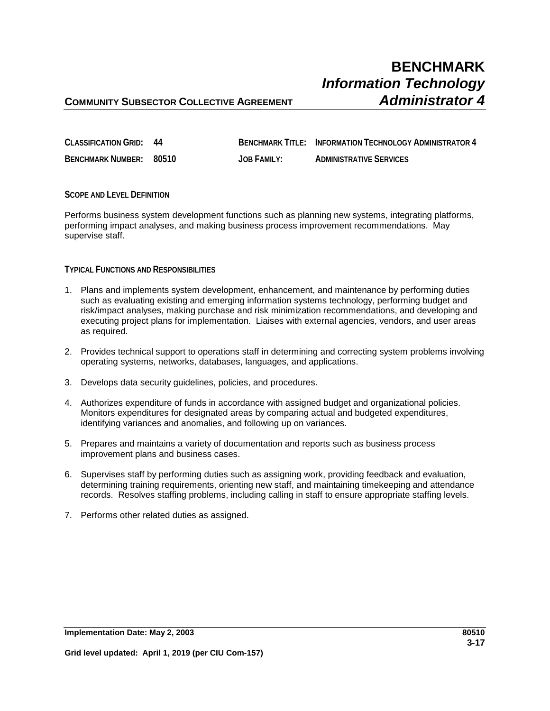## **COMMUNITY SUBSECTOR COLLECTIVE AGREEMENT** *Administrator 4*

| <b>CLASSIFICATION GRID: 44</b> |             | <b>BENCHMARK TITLE: INFORMATION TECHNOLOGY ADMINISTRATOR 4</b> |
|--------------------------------|-------------|----------------------------------------------------------------|
| BENCHMARK NUMBER: 80510        | JOB FAMILY: | <b>ADMINISTRATIVE SERVICES</b>                                 |

#### **SCOPE AND LEVEL DEFINITION**

Performs business system development functions such as planning new systems, integrating platforms, performing impact analyses, and making business process improvement recommendations. May supervise staff.

### **TYPICAL FUNCTIONS AND RESPONSIBILITIES**

- 1. Plans and implements system development, enhancement, and maintenance by performing duties such as evaluating existing and emerging information systems technology, performing budget and risk/impact analyses, making purchase and risk minimization recommendations, and developing and executing project plans for implementation. Liaises with external agencies, vendors, and user areas as required.
- 2. Provides technical support to operations staff in determining and correcting system problems involving operating systems, networks, databases, languages, and applications.
- 3. Develops data security guidelines, policies, and procedures.
- 4. Authorizes expenditure of funds in accordance with assigned budget and organizational policies. Monitors expenditures for designated areas by comparing actual and budgeted expenditures, identifying variances and anomalies, and following up on variances.
- 5. Prepares and maintains a variety of documentation and reports such as business process improvement plans and business cases.
- 6. Supervises staff by performing duties such as assigning work, providing feedback and evaluation, determining training requirements, orienting new staff, and maintaining timekeeping and attendance records. Resolves staffing problems, including calling in staff to ensure appropriate staffing levels.
- 7. Performs other related duties as assigned.